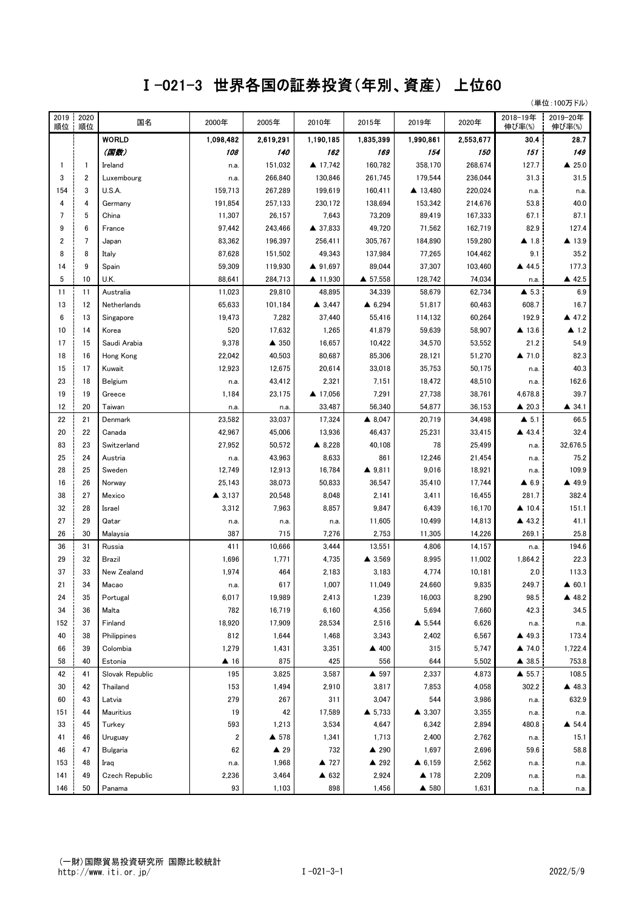## Ⅰ-021-3 世界各国の証券投資(年別、資産) 上位60

(単位:100万ドル)

| 2019<br>順位 | 2020<br>順位     | 国名              | 2000年               | 2005年          | 2010年             | 2015年             | 2019年             | 2020年     | 2018-19年<br>伸び率(%)    | 2019-20年<br>伸び率(%) |
|------------|----------------|-----------------|---------------------|----------------|-------------------|-------------------|-------------------|-----------|-----------------------|--------------------|
|            |                | <b>WORLD</b>    | 1,098,482           | 2,619,291      | 1,190,185         | 1,835,399         | 1,990,861         | 2,553,677 | 30.4                  | 28.7               |
|            |                | (国数)            | 108                 | 140            | 162               | 169               | 154               | 150       | 151                   | 149                |
| 1          | $\mathbf{1}$   | Ireland         | n.a.                | 151,032        | ▲ 17,742          | 160,782           | 358,170           | 268,674   | 127.7                 | $\triangle$ 25.0   |
| 3          | 2              | Luxembourg      | n.a.                | 266,840        | 130,846           | 261,745           | 179,544           | 236,044   | 31.3                  | 31.5               |
| 154        | 3              | U.S.A.          | 159,713             | 267,289        | 199,619           | 160,411           | ▲ 13,480          | 220,024   | n.a.                  | n.a.               |
| 4          | 4              | Germany         | 191,854             | 257,133        | 230,172           | 138,694           | 153,342           | 214,676   | 53.8                  | 40.0               |
| 7          | 5              | China           | 11,307              | 26,157         | 7,643             | 73,209            | 89,419            | 167,333   | 67.1                  | 87.1               |
| 9          | 6              | France          | 97,442              | 243,466        | ▲ 37,833          | 49,720            | 71,562            | 162,719   | 82.9                  | 127.4              |
| 2          | $\overline{7}$ | Japan           | 83,362              | 196,397        | 256,411           | 305,767           | 184,890           | 159,280   | $\blacktriangle$ 1.8  | ▲ 13.9             |
| 8          | 8              | Italy           | 87,628              | 151,502        | 49,343            | 137,984           | 77,265            | 104,462   | 9.1                   | 35.2               |
| 14         | 9              | Spain           | 59,309              | 119,930        | ▲ 91,697          | 89,044            | 37,307            | 103,460   | ▲ 44.5                | 177.3              |
| 5          | 10             | U.K.            | 88,641              | 284,713        | ▲ 11,930          | ▲ 57,558          | 128,742           | 74,034    | n.a.                  | ▲ 42.5             |
| 11         | 11             | Australia       | 11,023              | 29,810         | 48,895            | 34,339            | 58,679            | 62,734    | $\blacktriangle$ 5.3  | 6.9                |
| 13         | 12             | Netherlands     | 65,633              | 101,184        | $\triangle$ 3,447 | $\triangle$ 6,294 | 51,817            | 60,463    | 608.7                 | 16.7               |
| 6          | 13             | Singapore       | 19,473              | 7,282          | 37,440            | 55,416            | 114,132           | 60,264    | 192.9                 | ▲ 47.2             |
| 10         | 14             | Korea           | 520                 | 17,632         | 1,265             | 41,879            | 59,639            | 58,907    | ▲ 13.6                | $\triangle$ 1.2    |
| 17         | 15             | Saudi Arabia    | 9,378               | ▲ 350          | 16,657            | 10,422            | 34,570            | 53,552    | 21.2                  | 54.9               |
| 18         | 16             | Hong Kong       | 22,042              | 40,503         | 80,687            | 85,306            | 28,121            | 51,270    | $\blacktriangle$ 71.0 | 82.3               |
| 15         | 17             | Kuwait          | 12,923              | 12,675         | 20,614            | 33,018            | 35,753            | 50,175    | n.a.                  | 40.3               |
| 23         | 18             | Belgium         | n.a.                | 43,412         | 2,321             | 7,151             | 18,472            | 48,510    | n.a.                  | 162.6              |
| 19         | 19             | Greece          | 1,184               | 23,175         | ▲ 17,056          | 7,291             | 27,738            | 38,761    | 4,678.8               | 39.7               |
| 12         | 20             | Taiwan          | n.a.                | n.a.           | 33,487            | 56,340            | 54,877            | 36,153    | $\triangle$ 20.3      | ▲ 34.1             |
| 22         | 21             | Denmark         | 23,582              | 33,037         | 17,324            | ▲ 8,047           | 20,719            | 34,498    | $\triangle$ 5.1       | 66.5               |
| 20         | 22             | Canada          | 42,967              | 45,006         | 13,936            | 46,437            | 25,231            | 33,415    | ▲ 43.4                | 32.4               |
| 83         | 23             | Switzerland     | 27,952              | 50,572         | ▲ 8,228           | 40,108            | 78                | 25,499    | n.a.                  | 32,676.5           |
| 25         | 24             | Austria         | n.a.                | 43,963         | 8,633             | 861               | 12,246            | 21,454    | n.a.                  | 75.2               |
| 28         | 25             | Sweden          | 12,749              | 12,913         | 16,784            | ▲ 9,811           | 9,016             | 18,921    | n.a.                  | 109.9              |
| 16         | 26             | Norway          | 25,143              | 38,073         | 50,833            | 36,547            | 35,410            | 17,744    | $\triangle$ 6.9       | ▲ 49.9             |
| 38         | 27             | Mexico          | $\triangle$ 3,137   | 20,548         | 8,048             | 2,141             | 3,411             | 16,455    | 281.7                 | 382.4              |
| 32         | 28             | Israel          | 3,312               | 7,963          | 8,857             | 9,847             | 6,439             | 16,170    | $\triangle$ 10.4      | 151.1              |
| 27         | 29             | Qatar           | n.a.                | n.a.           | n.a.              | 11,605            | 10,499            | 14,813    | ▲ 43.2                | 41.1               |
| 26         | 30             | Malaysia        | 387                 | 715            | 7,276             | 2,753             | 11,305            | 14,226    | 269.1                 | 25.8               |
| 36         | 31             | Russia          | 411                 | 10,666         | 3,444             | 13,551            | 4,806             | 14,157    | n.a.                  | 194.6              |
| 29         | 32             | <b>Brazil</b>   | 1,696               | 1,771          | 4,735             | ▲ 3,569           | 8,995             | 11,002    | 1,864.2               | 22.3               |
| 37         | 33             | New Zealand     | 1,974               | 464            | 2,183             | 3,183             | 4,774             | 10,181    | 2.0                   | 113.3              |
| 21         | 34             | Macao           | n.a.                | 617            | 1,007             | 11,049            | 24,660            | 9,835     | 249.7                 | $\triangle$ 60.1   |
| 24         | 35             | Portugal        | 6,017               | 19,989         | 2,413             | 1,239             | 16,003            | 8,290     | 98.5                  | ▲ 48.2             |
| 34         | 36             | Malta           | 782                 | 16,719         | 6,160             | 4,356             | 5,694             | 7,660     | 42.3                  | 34.5               |
| 152        | 37             | Finland         | 18,920              | 17,909         | 28,534            | 2,516             | ▲ 5,544           | 6,626     | n.a.                  | n.a.               |
| 40         | 38             | Philippines     | 812                 | 1,644          | 1,468             | 3,343             | 2,402             | 6,567     | ▲ 49.3                | 173.4              |
| 66         | 39             | Colombia        | 1,279               | 1,431          | 3,351             | ▲ 400             | 315               | 5,747     | ▲ 74.0                | 1,722.4            |
| 58         | 40             | Estonia         | $\blacktriangle$ 16 | 875            | 425               | 556               | 644               | 5,502     | ▲ 38.5                | 753.8              |
| 42         | 41             | Slovak Republic | 195                 | 3,825          | 3,587             | ▲ 597             | 2,337             | 4,873     | $\triangle$ 55.7      | 108.5              |
| 30         | 42             | Thailand        | 153                 | 1,494          | 2,910             | 3,817             | 7,853             | 4,058     | 302.2                 | ▲ 48.3             |
| 60         | 43             | Latvia          | 279                 | 267            | 311               | 3,047             | 544               | 3,986     | n.a.                  | 632.9              |
| 151        | 44             | Mauritius       | 19                  | 42             | 17,589            | ▲ 5,733           | $\triangle$ 3,307 | 3,355     | n.a.                  | n.a.               |
| 33         | 45             | Turkey          | 593                 | 1,213          | 3,534             | 4,647             | 6,342             | 2,894     | 480.8                 | ▲ 54.4             |
| 41         | 46             | Uruguay         | 2                   | ▲ 578          | 1,341             | 1,713             | 2,400             | 2,762     | n.a.                  | 15.1               |
| 46         | 47             | Bulgaria        | 62                  | $\triangle$ 29 | 732               | ▲ 290             | 1,697             | 2,696     | 59.6                  | 58.8               |
| 153        | 48             | Iraq            | n.a.                | 1,968          | ▲ 727             | ▲ 292             | $\triangle$ 6,159 | 2,562     | n.a.                  | n.a.               |
| 141        | 49             | Czech Republic  | 2,236               | 3,464          | ▲ 632             | 2,924             | ▲ 178             | 2,209     | n.a.                  | n.a.               |
| 146        | 50             | Panama          | 93                  | 1,103          | 898               | 1,456             | ▲ 580             | 1,631     | n.a.                  | n.a.               |